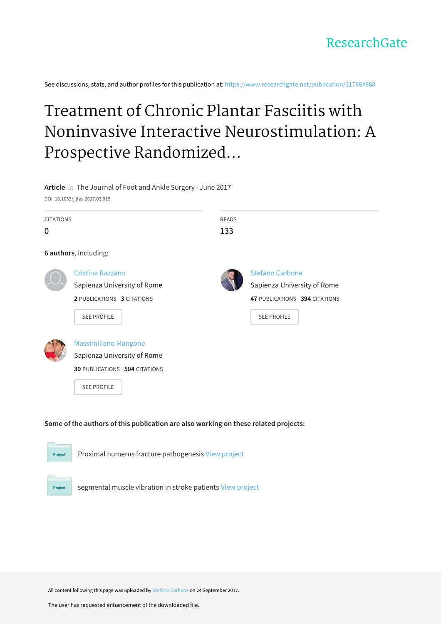See discussions, stats, and author profiles for this publication at: [https://www.researchgate.net/publication/317664868](https://www.researchgate.net/publication/317664868_Treatment_of_Chronic_Plantar_Fasciitis_with_Noninvasive_Interactive_Neurostimulation_A_Prospective_Randomized_Controlled_Study?enrichId=rgreq-b95a146f85b6d07e5bb1e7cf675511a5-XXX&enrichSource=Y292ZXJQYWdlOzMxNzY2NDg2ODtBUzo1NDIxNTU4ODQ0MzM0MDlAMTUwNjI3MTQ0Mzk2Mw%3D%3D&el=1_x_2&_esc=publicationCoverPdf)

# Treatment of Chronic Plantar Fasciitis with Noninvasive Interactive Neurostimulation: A Prospective Randomized...

**Article** in The Journal of Foot and Ankle Surgery · June 2017

DOI: 10.1053/j.jfas.2017.02.015

Project

| <b>CITATIONS</b>                                                                    |                               | <b>READS</b> |                               |  |  |
|-------------------------------------------------------------------------------------|-------------------------------|--------------|-------------------------------|--|--|
| 0                                                                                   |                               | 133          |                               |  |  |
| 6 authors, including:                                                               |                               |              |                               |  |  |
|                                                                                     | Cristina Razzano              |              | <b>Stefano Carbone</b>        |  |  |
|                                                                                     | Sapienza University of Rome   |              | Sapienza University of Rome   |  |  |
|                                                                                     | 2 PUBLICATIONS 3 CITATIONS    |              | 47 PUBLICATIONS 394 CITATIONS |  |  |
|                                                                                     | <b>SEE PROFILE</b>            |              | <b>SEE PROFILE</b>            |  |  |
|                                                                                     |                               |              |                               |  |  |
|                                                                                     | <b>Massimiliano Mangone</b>   |              |                               |  |  |
|                                                                                     | Sapienza University of Rome   |              |                               |  |  |
|                                                                                     | 39 PUBLICATIONS 504 CITATIONS |              |                               |  |  |
|                                                                                     | <b>SEE PROFILE</b>            |              |                               |  |  |
|                                                                                     |                               |              |                               |  |  |
|                                                                                     |                               |              |                               |  |  |
| Some of the authors of this publication are also working on these related projects: |                               |              |                               |  |  |
|                                                                                     |                               |              |                               |  |  |
| Proximal humerus fracture pathogenesis View project<br><b>Project</b>               |                               |              |                               |  |  |

segmental muscle vibration in stroke patients View [project](https://www.researchgate.net/project/segmental-muscle-vibration-in-stroke-patients?enrichId=rgreq-b95a146f85b6d07e5bb1e7cf675511a5-XXX&enrichSource=Y292ZXJQYWdlOzMxNzY2NDg2ODtBUzo1NDIxNTU4ODQ0MzM0MDlAMTUwNjI3MTQ0Mzk2Mw%3D%3D&el=1_x_9&_esc=publicationCoverPdf)

All content following this page was uploaded by Stefano [Carbone](https://www.researchgate.net/profile/Stefano_Carbone?enrichId=rgreq-b95a146f85b6d07e5bb1e7cf675511a5-XXX&enrichSource=Y292ZXJQYWdlOzMxNzY2NDg2ODtBUzo1NDIxNTU4ODQ0MzM0MDlAMTUwNjI3MTQ0Mzk2Mw%3D%3D&el=1_x_10&_esc=publicationCoverPdf) on 24 September 2017.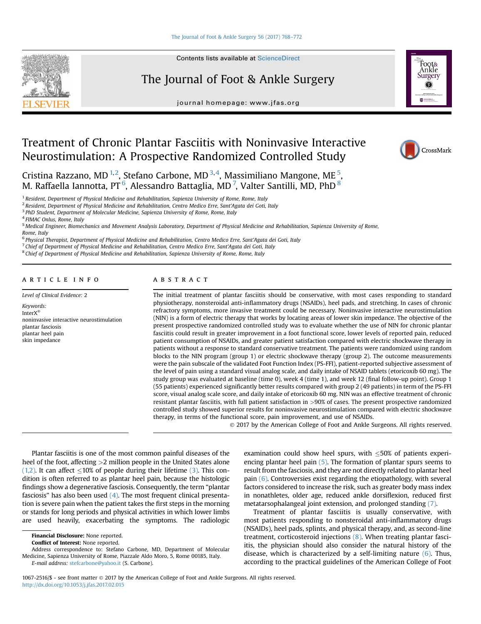**Contents lists available at ScienceDirect** 

# The Journal of Foot & Ankle Surgery

journal homepage: [www.jfas.org](http://www.jfas.org)



CrossMark

# Treatment of Chronic Plantar Fasciitis with Noninvasive Interactive Neurostimulation: A Prospective Randomized Controlled Study

Cristina Razzano, MD<sup>1,2</sup>, Stefano Carbone, MD<sup>3,4</sup>, Massimiliano Mangone, ME<sup>5</sup>, M. Raffaella Iannotta, PT $^6$ , Alessandro Battaglia, MD $^7$ , Valter Santilli, MD, PhD $^8$ 

<sup>1</sup> Resident, Department of Physical Medicine and Rehabilitation, Sapienza University of Rome, Rome, Italy

<sup>2</sup> Resident, Department of Physical Medicine and Rehabilitation, Centro Medico Erre, Sant'Agata dei Goti, Italy

<sup>3</sup> PhD Student, Department of Molecular Medicine, Sapienza University of Rome, Rome, Italy

<sup>5</sup> Medical Engineer, Biomechanics and Movement Analysis Laboratory, Department of Physical Medicine and Rehabilitation, Sapienza University of Rome, Rome, Italy

<sup>6</sup> Physical Therapist, Department of Physical Medicine and Rehabilitation, Centro Medico Erre, Sant'Agata dei Goti, Italy

 $7$  Chief of Department of Physical Medicine and Rehabilitation, Centro Medico Erre, Sant'Agata dei Goti, Italy

<sup>8</sup> Chief of Department of Physical Medicine and Rehabilitation, Sapienza University of Rome, Rome, Italy

# article info

plantar fasciosis plantar heel pain skin impedance

Level of Clinical Evidence: 2 Keywords: InterX<sup>®</sup> noninvasive interactive neurostimulation

## **ABSTRACT**

The initial treatment of plantar fasciitis should be conservative, with most cases responding to standard physiotherapy, nonsteroidal anti-inflammatory drugs (NSAIDs), heel pads, and stretching. In cases of chronic refractory symptoms, more invasive treatment could be necessary. Noninvasive interactive neurostimulation (NIN) is a form of electric therapy that works by locating areas of lower skin impedance. The objective of the present prospective randomized controlled study was to evaluate whether the use of NIN for chronic plantar fasciitis could result in greater improvement in a foot functional score, lower levels of reported pain, reduced patient consumption of NSAIDs, and greater patient satisfaction compared with electric shockwave therapy in patients without a response to standard conservative treatment. The patients were randomized using random blocks to the NIN program (group 1) or electric shockwave therapy (group 2). The outcome measurements were the pain subscale of the validated Foot Function Index (PS-FFI), patient-reported subjective assessment of the level of pain using a standard visual analog scale, and daily intake of NSAID tablets (etoricoxib 60 mg). The study group was evaluated at baseline (time 0), week 4 (time 1), and week 12 (final follow-up point). Group 1 (55 patients) experienced significantly better results compared with group 2 (49 patients) in term of the PS-FFI score, visual analog scale score, and daily intake of etoricoxib 60 mg. NIN was an effective treatment of chronic resistant plantar fasciitis, with full patient satisfaction in >90% of cases. The present prospective randomized controlled study showed superior results for noninvasive neurostimulation compared with electric shockwave therapy, in terms of the functional score, pain improvement, and use of NSAIDs.

2017 by the American College of Foot and Ankle Surgeons. All rights reserved.

Plantar fasciitis is one of the most common painful diseases of the heel of the foot, affecting >2 million people in the United States alone [\(1,2\)](#page-5-0). It can affect  $\leq 10\%$  of people during their lifetime [\(3\)](#page-5-0). This condition is often referred to as plantar heel pain, because the histologic findings show a degenerative fasciosis. Consequently, the term "plantar fasciosis" has also been used  $(4)$ . The most frequent clinical presentation is severe pain when the patient takes the first steps in the morning or stands for long periods and physical activities in which lower limbs are used heavily, exacerbating the symptoms. The radiologic

Conflict of Interest: None reported.

E-mail address: [stefcarbone@yahoo.it](mailto:stefcarbone@yahoo.it) (S. Carbone).

examination could show heel spurs, with  $<50\%$  of patients experi-encing plantar heel pain [\(5\)](#page-5-0). The formation of plantar spurs seems to result from the fasciosis, and they are not directly related to plantar heel pain [\(6\)](#page-5-0). Controversies exist regarding the etiopathology, with several factors considered to increase the risk, such as greater body mass index in nonathletes, older age, reduced ankle dorsiflexion, reduced first metatarsophalangeal joint extension, and prolonged standing [\(7\)](#page-5-0).

Treatment of plantar fasciitis is usually conservative, with most patients responding to nonsteroidal anti-inflammatory drugs (NSAIDs), heel pads, splints, and physical therapy, and, as second-line treatment, corticosteroid injections [\(8\)](#page-5-0). When treating plantar fasciitis, the physician should also consider the natural history of the disease, which is characterized by a self-limiting nature  $(6)$ . Thus, according to the practical guidelines of the American College of Foot

1067-2516/\$ - see front matter  $\circ$  2017 by the American College of Foot and Ankle Surgeons. All rights reserved. <http://dx.doi.org/10.1053/j.jfas.2017.02.015>

<sup>4</sup> FIMAC Onlus, Rome, Italy

Financial Disclosure: None reported.

Address correspondence to: Stefano Carbone, MD, Department of Molecular Medicine, Sapienza University of Rome, Piazzale Aldo Moro, 5, Rome 00185, Italy.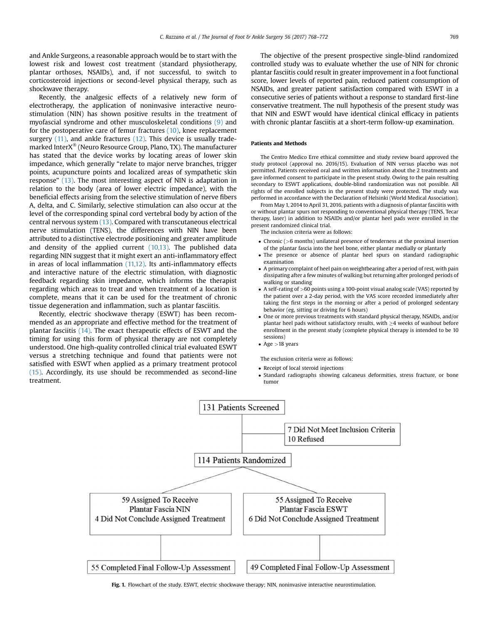<span id="page-2-0"></span>and Ankle Surgeons, a reasonable approach would be to start with the lowest risk and lowest cost treatment (standard physiotherapy, plantar orthoses, NSAIDs), and, if not successful, to switch to corticosteroid injections or second-level physical therapy, such as shockwave therapy.

Recently, the analgesic effects of a relatively new form of electrotherapy, the application of noninvasive interactive neurostimulation (NIN) has shown positive results in the treatment of myofascial syndrome and other musculoskeletal conditions [\(9\)](#page-5-0) and for the postoperative care of femur fractures  $(10)$ , knee replacement surgery [\(11\)](#page-5-0), and ankle fractures [\(12\)](#page-5-0). This device is usually trademarked Inter $X^{\circledast}$  (Neuro Resource Group, Plano, TX). The manufacturer has stated that the device works by locating areas of lower skin impedance, which generally "relate to major nerve branches, trigger points, acupuncture points and localized areas of sympathetic skin response" [\(13\)](#page-5-0). The most interesting aspect of NIN is adaptation in relation to the body (area of lower electric impedance), with the beneficial effects arising from the selective stimulation of nerve fibers A, delta, and C. Similarly, selective stimulation can also occur at the level of the corresponding spinal cord vertebral body by action of the central nervous system [\(13\).](#page-5-0) Compared with transcutaneous electrical nerve stimulation (TENS), the differences with NIN have been attributed to a distinctive electrode positioning and greater amplitude and density of the applied current  $(10,13)$ . The published data regarding NIN suggest that it might exert an anti-inflammatory effect in areas of local inflammation  $(11,12)$ . Its anti-inflammatory effects and interactive nature of the electric stimulation, with diagnostic feedback regarding skin impedance, which informs the therapist regarding which areas to treat and when treatment of a location is complete, means that it can be used for the treatment of chronic tissue degeneration and inflammation, such as plantar fasciitis.

Recently, electric shockwave therapy (ESWT) has been recommended as an appropriate and effective method for the treatment of plantar fasciitis [\(14\)](#page-5-0). The exact therapeutic effects of ESWT and the timing for using this form of physical therapy are not completely understood. One high-quality controlled clinical trial evaluated ESWT versus a stretching technique and found that patients were not satisfied with ESWT when applied as a primary treatment protocol [\(15\).](#page-5-0) Accordingly, its use should be recommended as second-line treatment.

The objective of the present prospective single-blind randomized controlled study was to evaluate whether the use of NIN for chronic plantar fasciitis could result in greater improvement in a foot functional score, lower levels of reported pain, reduced patient consumption of NSAIDs, and greater patient satisfaction compared with ESWT in a consecutive series of patients without a response to standard first-line conservative treatment. The null hypothesis of the present study was that NIN and ESWT would have identical clinical efficacy in patients with chronic plantar fasciitis at a short-term follow-up examination.

# Patients and Methods

The Centro Medico Erre ethical committee and study review board approved the study protocol (approval no. 2016/15). Evaluation of NIN versus placebo was not permitted. Patients received oral and written information about the 2 treatments and gave informed consent to participate in the present study. Owing to the pain resulting secondary to ESWT applications, double-blind randomization was not possible. All rights of the enrolled subjects in the present study were protected. The study was performed in accordance with the Declaration of Helsinki (World Medical Association).

From May 1, 2014 to April 31, 2016, patients with a diagnosis of plantar fasciitis with or without plantar spurs not responding to conventional physical therapy (TENS, Tecar therapy, laser) in addition to NSAIDs and/or plantar heel pads were enrolled in the present randomized clinical trial.

The inclusion criteria were as follows:

- Chronic (>6 months) unilateral presence of tenderness at the proximal insertion of the plantar fascia into the heel bone, either plantar medially or plantarly
- The presence or absence of plantar heel spurs on standard radiographic examination
- A primary complaint of heel pain on weightbearing after a period of rest, with pain dissipating after a few minutes of walking but returning after prolonged periods of walking or standing
- A self-rating of >60 points using a 100-point visual analog scale (VAS) reported by the patient over a 2-day period, with the VAS score recorded immediately after taking the first steps in the morning or after a period of prolonged sedentary behavior (eg, sitting or driving for 6 hours)
- One or more previous treatments with standard physical therapy, NSAIDs, and/or plantar heel pads without satisfactory results, with  $\geq$  4 weeks of washout before enrollment in the present study (complete physical therapy is intended to be 10 sessions)
- $\bullet$  Age  $>18$  years

The exclusion criteria were as follows:

- Receipt of local steroid injections
- Standard radiographs showing calcaneus deformities, stress fracture, or bone tumor



Fig. 1. Flowchart of the study. ESWT, electric shockwave therapy; NIN, noninvasive interactive neurostimulation.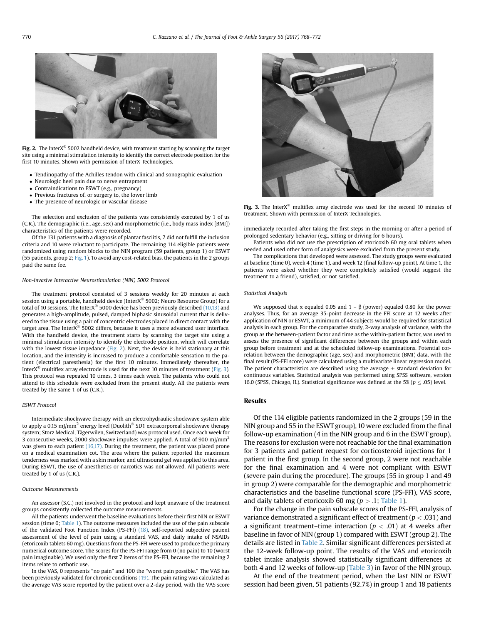

Fig. 2. The Inter $X^{\circledast}$  5002 handheld device, with treatment starting by scanning the target site using a minimal stimulation intensity to identify the correct electrode position for the first 10 minutes. Shown with permission of InterX Technologies.

- Tendinopathy of the Achilles tendon with clinical and sonographic evaluation
- Neurologic heel pain due to nerve entrapment
- Contraindications to ESWT (e.g., pregnancy)
- Previous fractures of, or surgery to, the lower limb
- The presence of neurologic or vascular disease

The selection and exclusion of the patients was consistently executed by 1 of us (C.R.). The demographic (i.e., age, sex) and morphometric (i.e., body mass index [BMI]) characteristics of the patients were recorded.

Of the 131 patients with a diagnosis of plantar fasciitis, 7 did not fulfill the inclusion criteria and 10 were reluctant to participate. The remaining 114 eligible patients were randomized using random blocks to the NIN program (59 patients, group 1) or ESWT (55 patients, group 2; [Fig. 1](#page-2-0)). To avoid any cost-related bias, the patients in the 2 groups paid the same fee.

#### Non-invasive Interactive Neurostimulation (NIN) 5002 Protocol

The treatment protocol consisted of 3 sessions weekly for 20 minutes at each session using a portable, handheld device (Inter $X^{\otimes}$  5002; Neuro Resource Group) for a total of 10 sessions. The InterX® 5000 device has been previously described  $(10,13)$  and generates a high-amplitude, pulsed, damped biphasic sinusoidal current that is delivered to the tissue using a pair of concentric electrodes placed in direct contact with the target area. The Inter $X^{\circledast}$  5002 differs, because it uses a more advanced user interface. With the handheld device, the treatment starts by scanning the target site using a minimal stimulation intensity to identify the electrode position, which will correlate with the lowest tissue impedance (Fig. 2). Next, the device is held stationary at this location, and the intensity is increased to produce a comfortable sensation to the patient (electrical paresthesia) for the first 10 minutes. Immediately thereafter, the Inter $X^{\otimes}$  multiflex array electrode is used for the next 10 minutes of treatment (Fig. 3). This protocol was repeated 10 times, 3 times each week. The patients who could not attend to this schedule were excluded from the present study. All the patients were treated by the same 1 of us (C.R.).

#### ESWT Protocol

Intermediate shockwave therapy with an electrohydraulic shockwave system able to apply a 0.15 mJ/mm<sup>2</sup> energy level (Duolith<sup>®</sup> SD1 extracorporeal shockwave therapy system; Storz Medical, Tägerwilen, Switzerland) was protocol used. Once each week for 3 consecutive weeks, 2000 shockwave impulses were applied. A total of 900 mJ/mm<sup>2</sup> was given to each patient [\(16,17\).](#page-5-0) During the treatment, the patient was placed prone on a medical examination cot. The area where the patient reported the maximum tenderness was marked with a skin marker, and ultrasound gel was applied to this area. During ESWT, the use of anesthetics or narcotics was not allowed. All patients were treated by 1 of us (C.R.).

#### Outcome Measurements

An assessor (S.C.) not involved in the protocol and kept unaware of the treatment groups consistently collected the outcome measurements.

All the patients underwent the baseline evaluations before their first NIN or ESWT session (time 0; [Table 1\)](#page-4-0). The outcome measures included the use of the pain subscale of the validated Foot Function Index (PS-FFI) [\(18\),](#page-5-0) self-reported subjective patient assessment of the level of pain using a standard VAS, and daily intake of NSAIDs (etoricoxib tablets 60 mg). Questions from the PS-FFI were used to produce the primary numerical outcome score. The scores for the PS-FFI range from 0 (no pain) to 10 (worst pain imaginable). We used only the first 7 items of the PS-FFI, because the remaining 2 items relate to orthotic use.

In the VAS, 0 represents "no pain" and 100 the "worst pain possible." The VAS has been previously validated for chronic conditions [\(19\)](#page-5-0). The pain rating was calculated as the average VAS score reported by the patient over a 2-day period, with the VAS score



Fig. 3. The Inter $X^{\circledast}$  multiflex array electrode was used for the second 10 minutes of treatment. Shown with permission of InterX Technologies.

immediately recorded after taking the first steps in the morning or after a period of prolonged sedentary behavior (e.g., sitting or driving for 6 hours).

Patients who did not use the prescription of etoricoxib 60 mg oral tablets when needed and used other form of analgesics were excluded from the present study.

The complications that developed were assessed. The study groups were evaluated at baseline (time 0), week 4 (time 1), and week 12 (final follow-up point). At time 1, the patients were asked whether they were completely satisfied (would suggest the treatment to a friend), satisfied, or not satisfied.

#### Statistical Analysis

We supposed that  $\alpha$  equaled 0.05 and 1 –  $\beta$  (power) equaled 0.80 for the power analyses. Thus, for an average 35-point decrease in the FFI score at 12 weeks after application of NIN or ESWT, a minimum of 44 subjects would be required for statistical analysis in each group. For the comparative study, 2-way analysis of variance, with the group as the between-patient factor and time as the within-patient factor, was used to assess the presence of significant differences between the groups and within each group before treatment and at the scheduled follow-up examinations. Potential correlation between the demographic (age, sex) and morphometric (BMI) data, with the final result (PS-FFI score) were calculated using a multivariate linear regression model. The patient characteristics are described using the average  $\pm$  standard deviation for continuous variables. Statistical analysis was performed using SPSS software, version 16.0 (SPSS, Chicago, IL). Statistical significance was defined at the 5% ( $p \leq .05$ ) level.

# Results

Of the 114 eligible patients randomized in the 2 groups (59 in the NIN group and 55 in the ESWT group), 10 were excluded from the final follow-up examination (4 in the NIN group and 6 in the ESWT group). The reasons for exclusion were not reachable for the final examination for 3 patients and patient request for corticosteroid injections for 1 patient in the first group. In the second group, 2 were not reachable for the final examination and 4 were not compliant with ESWT (severe pain during the procedure). The groups (55 in group 1 and 49 in group 2) were comparable for the demographic and morphometric characteristics and the baseline functional score (PS-FFI), VAS score, and daily tablets of etoricoxib 60 mg ( $p > .1$ ; [Table 1](#page-4-0)).

For the change in the pain subscale scores of the PS-FFI, analysis of variance demonstrated a significant effect of treatment ( $p < .031$ ) and a significant treatment–time interaction ( $p < .01$ ) at 4 weeks after baseline in favor of NIN (group 1) compared with ESWT (group 2). The details are listed in [Table 2](#page-4-0). Similar significant differences persisted at the 12-week follow-up point. The results of the VAS and etoricoxib tablet intake analysis showed statistically significant differences at both 4 and 12 weeks of follow-up [\(Table 3\)](#page-5-0) in favor of the NIN group.

At the end of the treatment period, when the last NIN or ESWT session had been given, 51 patients (92.7%) in group 1 and 18 patients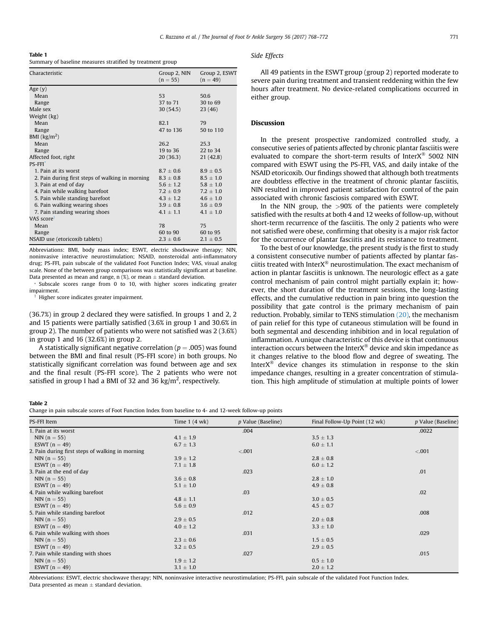<span id="page-4-0"></span>

| Table 1                                                    |  |  |  |
|------------------------------------------------------------|--|--|--|
| Summary of baseline measures stratified by treatment group |  |  |  |

| Characteristic                                   | Group 2, NIN<br>$(n = 55)$ | Group 2, ESWT<br>$(n = 49)$ |
|--------------------------------------------------|----------------------------|-----------------------------|
| Age (y)                                          |                            |                             |
| Mean                                             | 53                         | 50.6                        |
| Range                                            | 37 to 71                   | 30 to 69                    |
| Male sex                                         | 30(54.5)                   | 23(46)                      |
| Weight (kg)                                      |                            |                             |
| Mean                                             | 82.1                       | 79                          |
| Range                                            | 47 to 136                  | 50 to 110                   |
| BMI $\left(\frac{kg}{m^2}\right)$                |                            |                             |
| Mean                                             | 26.2                       | 25.3                        |
| Range                                            | 19 to 36                   | 22 to 34                    |
| Affected foot, right                             | 20 (36.3)                  | 21(42.8)                    |
| <b>PS-FFI</b>                                    |                            |                             |
| 1. Pain at its worst                             | $8.7 \pm 0.6$              | $8.9 \pm 0.5$               |
| 2. Pain during first steps of walking in morning | $8.3\,\pm\,0.8$            | $8.5 \pm 1.0$               |
| 3. Pain at end of day                            | $5.6 \pm 1.2$              | $5.8 \pm 1.0$               |
| 4. Pain while walking barefoot                   | $7.2\pm0.9$                | $7.2 \pm 1.0$               |
| 5. Pain while standing barefoot                  | $4.3 \pm 1.2$              | $4.6 \pm 1.0$               |
| 6. Pain walking wearing shoes                    | $3.9 \pm 0.8$              | $3.6 \pm 0.9$               |
| 7. Pain standing wearing shoes                   | $4.1 \pm 1.1$              | $4.1 \pm 1.0$               |
| VAS score <sup>t</sup>                           |                            |                             |
| Mean                                             | 78                         | 75                          |
| Range                                            | 60 to 90                   | 60 to 95                    |
| NSAID use (etoricoxib tablets)                   | $2.3 \pm 0.6$              | $2.1 \pm 0.5$               |
|                                                  |                            |                             |

Abbreviations: BMI, body mass index; ESWT, electric shockwave therapy; NIN, noninvasive interactive neurostimulation; NSAID, nonsteroidal anti-inflammatory drug; PS-FFI, pain subscale of the validated Foot Function Index; VAS, visual analog scale. None of the between group comparisons was statistically significant at baseline. Data presented as mean and range, n  $(\%)$ , or mean  $\pm$  standard deviation.

\* Subscale scores range from 0 to 10, with higher scores indicating greater impairment.

Higher score indicates greater impairment.

(36.7%) in group 2 declared they were satisfied. In groups 1 and 2, 2 and 15 patients were partially satisfied (3.6% in group 1 and 30.6% in group 2). The number of patients who were not satisfied was 2 (3.6%) in group 1 and 16 (32.6%) in group 2.

A statistically significant negative correlation ( $p = .005$ ) was found between the BMI and final result (PS-FFI score) in both groups. No statistically significant correlation was found between age and sex and the final result (PS-FFI score). The 2 patients who were not satisfied in group I had a BMI of 32 and 36 kg/m<sup>2</sup>, respectively.

# Side Effects

All 49 patients in the ESWT group (group 2) reported moderate to severe pain during treatment and transient reddening within the few hours after treatment. No device-related complications occurred in either group.

# Discussion

In the present prospective randomized controlled study, a consecutive series of patients affected by chronic plantar fasciitis were evaluated to compare the short-term results of Inter $X^{\text{B}}$  5002 NIN compared with ESWT using the PS-FFI, VAS, and daily intake of the NSAID etoricoxib. Our findings showed that although both treatments are doubtless effective in the treatment of chronic plantar fasciitis, NIN resulted in improved patient satisfaction for control of the pain associated with chronic fasciosis compared with ESWT.

In the NIN group, the  $>90\%$  of the patients were completely satisfied with the results at both 4 and 12 weeks of follow-up, without short-term recurrence of the fasciitis. The only 2 patients who were not satisfied were obese, confirming that obesity is a major risk factor for the occurrence of plantar fasciitis and its resistance to treatment.

To the best of our knowledge, the present study is the first to study a consistent consecutive number of patients affected by plantar fasciitis treated with Inter $X^{\circledast}$  neurostimulation. The exact mechanism of action in plantar fasciitis is unknown. The neurologic effect as a gate control mechanism of pain control might partially explain it; however, the short duration of the treatment sessions, the long-lasting effects, and the cumulative reduction in pain bring into question the possibility that gate control is the primary mechanism of pain reduction. Probably, similar to TENS stimulation [\(20\),](#page-5-0) the mechanism of pain relief for this type of cutaneous stimulation will be found in both segmental and descending inhibition and in local regulation of inflammation. A unique characteristic of this device is that continuous interaction occurs between the Inter $X^{\circledast}$  device and skin impedance as it changes relative to the blood flow and degree of sweating. The Inter $X^{\circledR}$  device changes its stimulation in response to the skin impedance changes, resulting in a greater concentration of stimulation. This high amplitude of stimulation at multiple points of lower

### Table 2

Change in pain subscale scores of Foot Function Index from baseline to 4- and 12-week follow-up points

| PS-FFI Item                                      | Time $1(4 \text{ wk})$ | p Value (Baseline) | Final Follow-Up Point (12 wk) | p Value (Baseline) |
|--------------------------------------------------|------------------------|--------------------|-------------------------------|--------------------|
| 1. Pain at its worst                             |                        | .004               |                               | .0022              |
| NIN $(n = 55)$                                   | $4.1 \pm 1.9$          |                    | $3.5 \pm 1.3$                 |                    |
| ESWT $(n = 49)$                                  | $6.7 \pm 1.3$          |                    | $6.0 \pm 1.1$                 |                    |
| 2. Pain during first steps of walking in morning |                        | < .001             |                               | < 0.001            |
| NIN $(n = 55)$                                   | $3.9 \pm 1.2$          |                    | $2.8 \pm 0.8$                 |                    |
| ESWT $(n = 49)$                                  | $7.1 \pm 1.8$          |                    | $6.0 \pm 1.2$                 |                    |
| 3. Pain at the end of day                        |                        | .023               |                               | .01                |
| NIN $(n = 55)$                                   | $3.6 \pm 0.8$          |                    | $2.8 \pm 1.0$                 |                    |
| ESWT $(n = 49)$                                  | $5.1 \pm 1.0$          |                    | $4.9 \pm 0.8$                 |                    |
| 4. Pain while walking barefoot                   |                        | .03                |                               | .02                |
| NIN $(n = 55)$                                   | $4.8 \pm 1.1$          |                    | $3.0 \pm 0.5$                 |                    |
| ESWT $(n = 49)$                                  | $5.6 \pm 0.9$          |                    | $4.5 \pm 0.7$                 |                    |
| 5. Pain while standing barefoot                  |                        | .012               |                               | .008               |
| $NIN (n = 55)$                                   | $2.9 \pm 0.5$          |                    | $2.0 \pm 0.8$                 |                    |
| ESWT $(n = 49)$                                  | $4.0 \pm 1.2$          |                    | $3.3 \pm 1.0$                 |                    |
| 6. Pain while walking with shoes                 |                        | .031               |                               | .029               |
| $NIN (n = 55)$                                   | $2.3 \pm 0.6$          |                    | $1.5 \pm 0.5$                 |                    |
| ESWT $(n = 49)$                                  | $3.2 \pm 0.5$          |                    | $2.9 \pm 0.5$                 |                    |
| 7. Pain while standing with shoes                |                        | .027               |                               | .015               |
| NIN $(n = 55)$                                   | $1.9 \pm 1.2$          |                    | $0.5 \pm 1.0$                 |                    |
| ESWT $(n = 49)$                                  | $3.1 \pm 1.0$          |                    | $2.0 \pm 1.2$                 |                    |

Abbreviations: ESWT, electric shockwave therapy; NIN, noninvasive interactive neurostimulation; PS-FFI, pain subscale of the validated Foot Function Index. Data presented as mean  $\pm$  standard deviation.